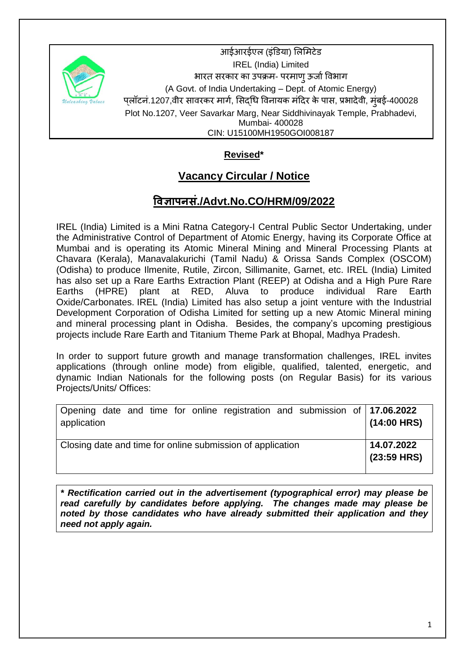

आईआरईएल (इंडिया) लिमिटेड IREL (India) Limited भारत सरकार का उपक्रम- परमाण् ऊर्जा विभाग (A Govt. of India Undertaking – Dept. of Atomic Energy) पलॉटनं.1207,वीर सावरकर मार्ग, सिदधि विनायक मंदिर के पास, प्रभादेवी, मंबई-400028 Plot No.1207, Veer Savarkar Marg, Near Siddhivinayak Temple, Prabhadevi, Mumbai- 400028 CIN: U15100MH1950GOI008187

# **Revised\***

# **Vacancy Circular / Notice**

# **विज्ञापनसं./Advt.No.CO/HRM/09/2022**

IREL (India) Limited is a Mini Ratna Category-I Central Public Sector Undertaking, under the Administrative Control of Department of Atomic Energy, having its Corporate Office at Mumbai and is operating its Atomic Mineral Mining and Mineral Processing Plants at Chavara (Kerala), Manavalakurichi (Tamil Nadu) & Orissa Sands Complex (OSCOM) (Odisha) to produce Ilmenite, Rutile, Zircon, Sillimanite, Garnet, etc. IREL (India) Limited has also set up a Rare Earths Extraction Plant (REEP) at Odisha and a High Pure Rare Earths (HPRE) plant at RED, Aluva to produce individual Rare Earth Oxide/Carbonates. IREL (India) Limited has also setup a joint venture with the Industrial Development Corporation of Odisha Limited for setting up a new Atomic Mineral mining and mineral processing plant in Odisha. Besides, the company's upcoming prestigious projects include Rare Earth and Titanium Theme Park at Bhopal, Madhya Pradesh.

In order to support future growth and manage transformation challenges, IREL invites applications (through online mode) from eligible, qualified, talented, energetic, and dynamic Indian Nationals for the following posts (on Regular Basis) for its various Projects/Units/ Offices:

| Opening date and time for online registration and submission of 17.06.2022<br>application |  |  | $(14:00$ HRS)               |
|-------------------------------------------------------------------------------------------|--|--|-----------------------------|
| Closing date and time for online submission of application                                |  |  | 14.07.2022<br>$(23:59$ HRS) |

*\* Rectification carried out in the advertisement (typographical error) may please be read carefully by candidates before applying. The changes made may please be noted by those candidates who have already submitted their application and they need not apply again.*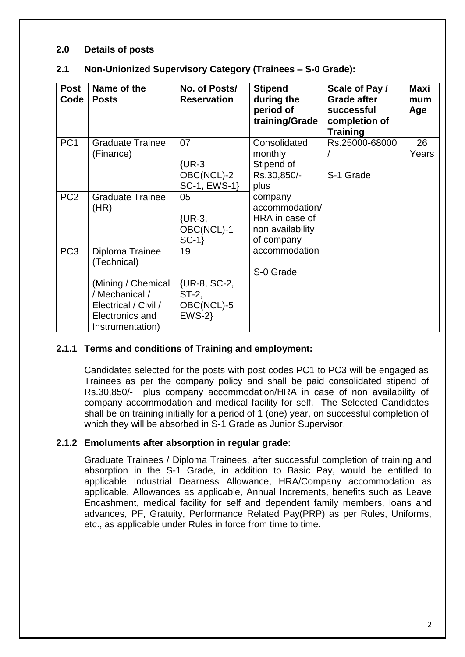#### **2.0 Details of posts**

| 2.1 | Non-Unionized Supervisory Category (Trainees - S-0 Grade): |  |  |
|-----|------------------------------------------------------------|--|--|
|-----|------------------------------------------------------------|--|--|

| <b>Post</b><br>Code | Name of the<br><b>Posts</b>                                                                                                           | No. of Posts/<br><b>Reservation</b>                  | <b>Stipend</b><br>during the<br>period of<br>training/Grade                   | Scale of Pay /<br><b>Grade after</b><br>successful<br>completion of<br><b>Training</b> | Maxi<br>mum<br>Age |
|---------------------|---------------------------------------------------------------------------------------------------------------------------------------|------------------------------------------------------|-------------------------------------------------------------------------------|----------------------------------------------------------------------------------------|--------------------|
| PC <sub>1</sub>     | <b>Graduate Trainee</b><br>(Finance)                                                                                                  | 07<br>$\{UR-3$<br>OBC(NCL)-2<br>SC-1, EWS-1}         | Consolidated<br>monthly<br>Stipend of<br>Rs.30,850/-<br>plus                  | Rs.25000-68000<br>S-1 Grade                                                            | 26<br>Years        |
| PC <sub>2</sub>     | <b>Graduate Trainee</b><br>(HR)                                                                                                       | 05<br>$\{UR-3,$<br>OBC(NCL)-1<br>$SC-1$              | company<br>accommodation/<br>HRA in case of<br>non availability<br>of company |                                                                                        |                    |
| PC <sub>3</sub>     | Diploma Trainee<br>(Technical)<br>(Mining / Chemical<br>/ Mechanical /<br>Electrical / Civil /<br>Electronics and<br>Instrumentation) | 19<br>{UR-8, SC-2,<br>ST-2,<br>OBC(NCL)-5<br>$EWS-2$ | accommodation<br>S-0 Grade                                                    |                                                                                        |                    |

#### **2.1.1 Terms and conditions of Training and employment:**

Candidates selected for the posts with post codes PC1 to PC3 will be engaged as Trainees as per the company policy and shall be paid consolidated stipend of Rs.30,850/- plus company accommodation/HRA in case of non availability of company accommodation and medical facility for self. The Selected Candidates shall be on training initially for a period of 1 (one) year, on successful completion of which they will be absorbed in S-1 Grade as Junior Supervisor.

#### **2.1.2 Emoluments after absorption in regular grade:**

Graduate Trainees / Diploma Trainees, after successful completion of training and absorption in the S-1 Grade, in addition to Basic Pay, would be entitled to applicable Industrial Dearness Allowance, HRA/Company accommodation as applicable, Allowances as applicable, Annual Increments, benefits such as Leave Encashment, medical facility for self and dependent family members, loans and advances, PF, Gratuity, Performance Related Pay(PRP) as per Rules, Uniforms, etc., as applicable under Rules in force from time to time.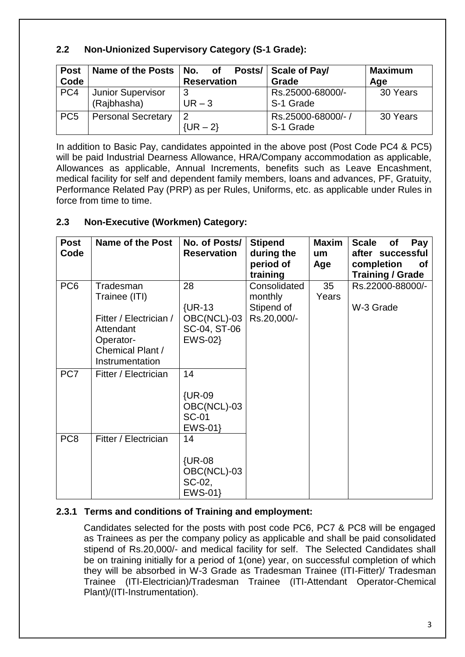# **2.2 Non-Unionized Supervisory Category (S-1 Grade):**

| <b>Post</b><br>Code | Name of the Posts   No. of              | Posts/<br><b>Reservation</b> | <b>Scale of Pay/</b><br>Grade  | <b>Maximum</b><br>Age |
|---------------------|-----------------------------------------|------------------------------|--------------------------------|-----------------------|
| PC4                 | <b>Junior Supervisor</b><br>(Rajbhasha) | ົ<br>$UR - 3$                | Rs.25000-68000/-<br>S-1 Grade  | 30 Years              |
| PC <sub>5</sub>     | <b>Personal Secretary</b>               | 2<br>$\{UR - 2\}$            | Rs.25000-68000/-/<br>S-1 Grade | 30 Years              |

In addition to Basic Pay, candidates appointed in the above post (Post Code PC4 & PC5) will be paid Industrial Dearness Allowance, HRA/Company accommodation as applicable, Allowances as applicable, Annual Increments, benefits such as Leave Encashment, medical facility for self and dependent family members, loans and advances, PF, Gratuity, Performance Related Pay (PRP) as per Rules, Uniforms, etc. as applicable under Rules in force from time to time.

# **2.3 Non-Executive (Workmen) Category:**

| <b>Post</b><br>Code | <b>Name of the Post</b>                                                                                               | No. of Posts/<br><b>Reservation</b>                            | <b>Stipend</b><br>during the<br>period of<br>training | <b>Maxim</b><br>um<br>Age | <b>Scale</b><br>Pay<br><b>of</b><br>after successful<br>completion<br><b>of</b><br><b>Training / Grade</b> |
|---------------------|-----------------------------------------------------------------------------------------------------------------------|----------------------------------------------------------------|-------------------------------------------------------|---------------------------|------------------------------------------------------------------------------------------------------------|
| PC <sub>6</sub>     | Tradesman<br>Trainee (ITI)<br>Fitter / Electrician /<br>Attendant<br>Operator-<br>Chemical Plant /<br>Instrumentation | 28<br>$\{UR-13$<br>OBC(NCL)-03<br>SC-04, ST-06<br>EWS-02}      | Consolidated<br>monthly<br>Stipend of<br>Rs.20,000/-  | 35<br>Years               | Rs.22000-88000/-<br>W-3 Grade                                                                              |
| PC <sub>7</sub>     | Fitter / Electrician                                                                                                  | 14<br><b>{UR-09</b><br>OBC(NCL)-03<br><b>SC-01</b><br>$EWS-01$ |                                                       |                           |                                                                                                            |
| PC <sub>8</sub>     | Fitter / Electrician                                                                                                  | 14<br><b>{UR-08</b><br>OBC(NCL)-03<br>SC-02,<br>EWS-01}        |                                                       |                           |                                                                                                            |

# **2.3.1 Terms and conditions of Training and employment:**

Candidates selected for the posts with post code PC6, PC7 & PC8 will be engaged as Trainees as per the company policy as applicable and shall be paid consolidated stipend of Rs.20,000/- and medical facility for self. The Selected Candidates shall be on training initially for a period of 1(one) year, on successful completion of which they will be absorbed in W-3 Grade as Tradesman Trainee (ITI-Fitter)/ Tradesman Trainee (ITI-Electrician)/Tradesman Trainee (ITI-Attendant Operator-Chemical Plant)/(ITI-Instrumentation).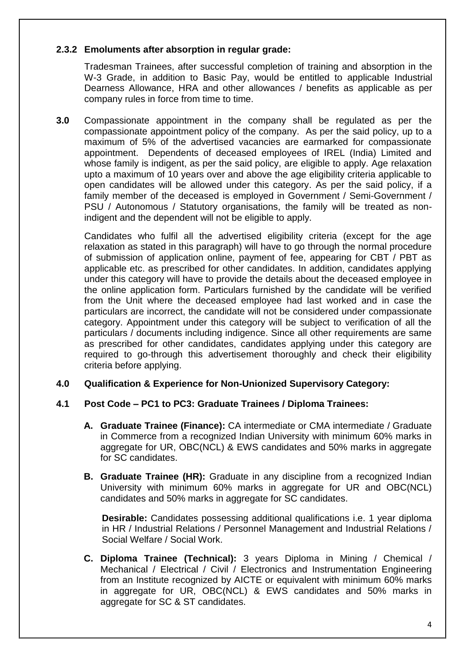## **2.3.2 Emoluments after absorption in regular grade:**

Tradesman Trainees, after successful completion of training and absorption in the W-3 Grade, in addition to Basic Pay, would be entitled to applicable Industrial Dearness Allowance, HRA and other allowances / benefits as applicable as per company rules in force from time to time.

**3.0** Compassionate appointment in the company shall be regulated as per the compassionate appointment policy of the company. As per the said policy, up to a maximum of 5% of the advertised vacancies are earmarked for compassionate appointment. Dependents of deceased employees of IREL (India) Limited and whose family is indigent, as per the said policy, are eligible to apply. Age relaxation upto a maximum of 10 years over and above the age eligibility criteria applicable to open candidates will be allowed under this category. As per the said policy, if a family member of the deceased is employed in Government / Semi-Government / PSU / Autonomous / Statutory organisations, the family will be treated as nonindigent and the dependent will not be eligible to apply.

Candidates who fulfil all the advertised eligibility criteria (except for the age relaxation as stated in this paragraph) will have to go through the normal procedure of submission of application online, payment of fee, appearing for CBT / PBT as applicable etc. as prescribed for other candidates. In addition, candidates applying under this category will have to provide the details about the deceased employee in the online application form. Particulars furnished by the candidate will be verified from the Unit where the deceased employee had last worked and in case the particulars are incorrect, the candidate will not be considered under compassionate category. Appointment under this category will be subject to verification of all the particulars / documents including indigence. Since all other requirements are same as prescribed for other candidates, candidates applying under this category are required to go-through this advertisement thoroughly and check their eligibility criteria before applying.

## **4.0 Qualification & Experience for Non-Unionized Supervisory Category:**

#### **4.1 Post Code – PC1 to PC3: Graduate Trainees / Diploma Trainees:**

- **A. Graduate Trainee (Finance):** CA intermediate or CMA intermediate / Graduate in Commerce from a recognized Indian University with minimum 60% marks in aggregate for UR, OBC(NCL) & EWS candidates and 50% marks in aggregate for SC candidates.
- **B.** Graduate Trainee (HR): Graduate in any discipline from a recognized Indian University with minimum 60% marks in aggregate for UR and OBC(NCL) candidates and 50% marks in aggregate for SC candidates.

**Desirable:** Candidates possessing additional qualifications i.e. 1 year diploma in HR / Industrial Relations / Personnel Management and Industrial Relations / Social Welfare / Social Work.

**C. Diploma Trainee (Technical):** 3 years Diploma in Mining / Chemical / Mechanical / Electrical / Civil / Electronics and Instrumentation Engineering from an Institute recognized by AICTE or equivalent with minimum 60% marks in aggregate for UR, OBC(NCL) & EWS candidates and 50% marks in aggregate for SC & ST candidates.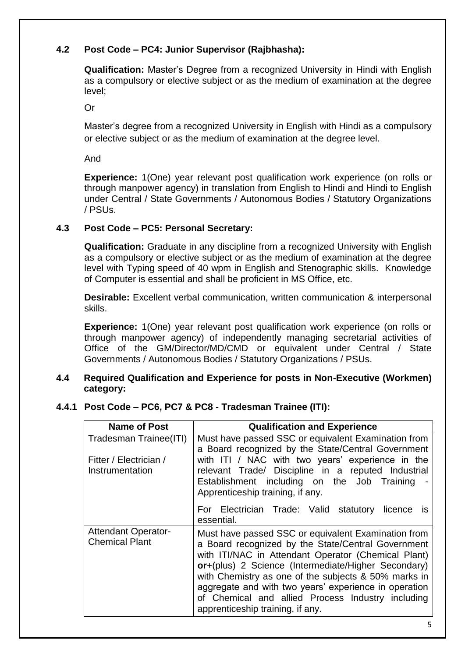# **4.2 Post Code – PC4: Junior Supervisor (Rajbhasha):**

**Qualification:** Master"s Degree from a recognized University in Hindi with English as a compulsory or elective subject or as the medium of examination at the degree level;

Or

Master"s degree from a recognized University in English with Hindi as a compulsory or elective subject or as the medium of examination at the degree level.

And

**Experience:** 1(One) year relevant post qualification work experience (on rolls or through manpower agency) in translation from English to Hindi and Hindi to English under Central / State Governments / Autonomous Bodies / Statutory Organizations / PSUs.

## **4.3 Post Code – PC5: Personal Secretary:**

**Qualification:** Graduate in any discipline from a recognized University with English as a compulsory or elective subject or as the medium of examination at the degree level with Typing speed of 40 wpm in English and Stenographic skills. Knowledge of Computer is essential and shall be proficient in MS Office, etc.

**Desirable:** Excellent verbal communication, written communication & interpersonal skills.

**Experience:** 1(One) year relevant post qualification work experience (on rolls or through manpower agency) of independently managing secretarial activities of Office of the GM/Director/MD/CMD or equivalent under Central / State Governments / Autonomous Bodies / Statutory Organizations / PSUs.

#### **4.4 Required Qualification and Experience for posts in Non-Executive (Workmen) category:**

## **4.4.1 Post Code – PC6, PC7 & PC8 - Tradesman Trainee (ITI):**

| <b>Name of Post</b>                                 | <b>Qualification and Experience</b>                                                                                                                                                                                                                                                                                                                                                                                               |
|-----------------------------------------------------|-----------------------------------------------------------------------------------------------------------------------------------------------------------------------------------------------------------------------------------------------------------------------------------------------------------------------------------------------------------------------------------------------------------------------------------|
| Tradesman Trainee(ITI)                              | Must have passed SSC or equivalent Examination from<br>a Board recognized by the State/Central Government                                                                                                                                                                                                                                                                                                                         |
| Fitter / Electrician /<br>Instrumentation           | with ITI / NAC with two years' experience in the<br>relevant Trade/ Discipline in a reputed Industrial<br>Establishment including on the Job Training<br>Apprenticeship training, if any.                                                                                                                                                                                                                                         |
|                                                     | For Electrician Trade: Valid statutory<br>licence<br>IS.<br>essential.                                                                                                                                                                                                                                                                                                                                                            |
| <b>Attendant Operator-</b><br><b>Chemical Plant</b> | Must have passed SSC or equivalent Examination from<br>a Board recognized by the State/Central Government<br>with ITI/NAC in Attendant Operator (Chemical Plant)<br>or+(plus) 2 Science (Intermediate/Higher Secondary)<br>with Chemistry as one of the subjects & 50% marks in<br>aggregate and with two years' experience in operation<br>of Chemical and allied Process Industry including<br>apprenticeship training, if any. |

5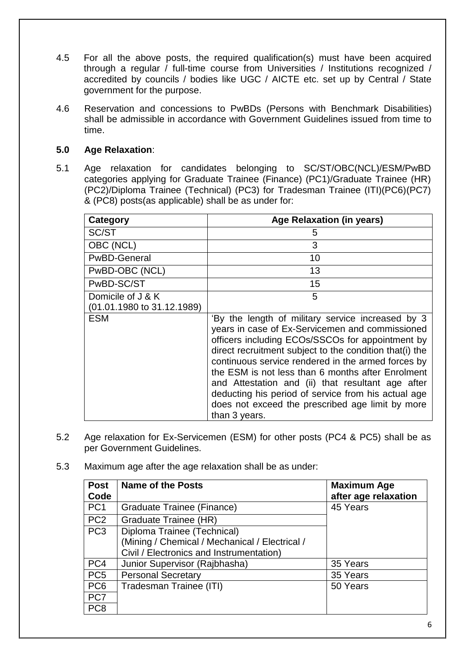- 4.5 For all the above posts, the required qualification(s) must have been acquired through a regular / full-time course from Universities / Institutions recognized / accredited by councils / bodies like UGC / AICTE etc. set up by Central / State government for the purpose.
- 4.6 Reservation and concessions to PwBDs (Persons with Benchmark Disabilities) shall be admissible in accordance with Government Guidelines issued from time to time.

## **5.0 Age Relaxation**:

5.1 Age relaxation for candidates belonging to SC/ST/OBC(NCL)/ESM/PwBD categories applying for Graduate Trainee (Finance) (PC1)/Graduate Trainee (HR) (PC2)/Diploma Trainee (Technical) (PC3) for Tradesman Trainee (ITI)(PC6)(PC7) & (PC8) posts(as applicable) shall be as under for:

| Category                   | <b>Age Relaxation (in years)</b>                                                                                                                                                                                                                                                                                                                                                                                                                                                                                |
|----------------------------|-----------------------------------------------------------------------------------------------------------------------------------------------------------------------------------------------------------------------------------------------------------------------------------------------------------------------------------------------------------------------------------------------------------------------------------------------------------------------------------------------------------------|
| SC/ST                      | 5                                                                                                                                                                                                                                                                                                                                                                                                                                                                                                               |
| OBC (NCL)                  | 3                                                                                                                                                                                                                                                                                                                                                                                                                                                                                                               |
| <b>PwBD-General</b>        | 10                                                                                                                                                                                                                                                                                                                                                                                                                                                                                                              |
| PwBD-OBC (NCL)             | 13                                                                                                                                                                                                                                                                                                                                                                                                                                                                                                              |
| PwBD-SC/ST                 | 15                                                                                                                                                                                                                                                                                                                                                                                                                                                                                                              |
| Domicile of J & K          | 5                                                                                                                                                                                                                                                                                                                                                                                                                                                                                                               |
| (01.01.1980 to 31.12.1989) |                                                                                                                                                                                                                                                                                                                                                                                                                                                                                                                 |
| <b>ESM</b>                 | 'By the length of military service increased by 3<br>years in case of Ex-Servicemen and commissioned<br>officers including ECOs/SSCOs for appointment by<br>direct recruitment subject to the condition that(i) the<br>continuous service rendered in the armed forces by<br>the ESM is not less than 6 months after Enrolment<br>and Attestation and (ii) that resultant age after<br>deducting his period of service from his actual age<br>does not exceed the prescribed age limit by more<br>than 3 years. |

- 5.2 Age relaxation for Ex-Servicemen (ESM) for other posts (PC4 & PC5) shall be as per Government Guidelines.
- 5.3 Maximum age after the age relaxation shall be as under:

| <b>Post</b>     | <b>Name of the Posts</b>                       | <b>Maximum Age</b>   |
|-----------------|------------------------------------------------|----------------------|
| Code            |                                                | after age relaxation |
| PC <sub>1</sub> | Graduate Trainee (Finance)                     | 45 Years             |
| PC <sub>2</sub> | Graduate Trainee (HR)                          |                      |
| PC <sub>3</sub> | Diploma Trainee (Technical)                    |                      |
|                 | (Mining / Chemical / Mechanical / Electrical / |                      |
|                 | Civil / Electronics and Instrumentation)       |                      |
| PC4             | Junior Supervisor (Rajbhasha)                  | 35 Years             |
| PC <sub>5</sub> | <b>Personal Secretary</b>                      | 35 Years             |
| PC <sub>6</sub> | Tradesman Trainee (ITI)                        | 50 Years             |
| PC7             |                                                |                      |
| PC <sub>8</sub> |                                                |                      |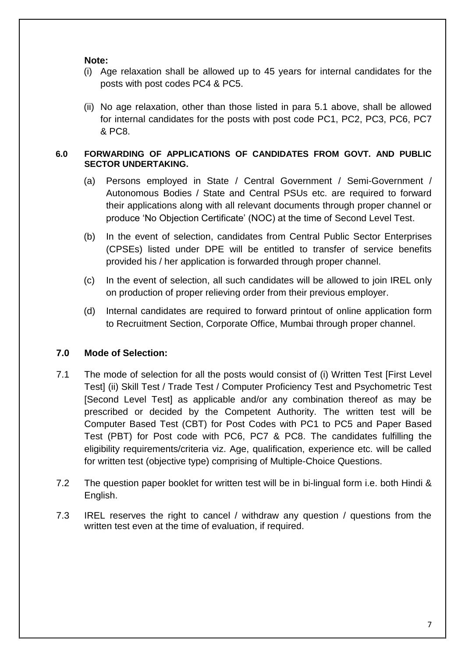**Note:**

- (i) Age relaxation shall be allowed up to 45 years for internal candidates for the posts with post codes PC4 & PC5.
- (ii) No age relaxation, other than those listed in para 5.1 above, shall be allowed for internal candidates for the posts with post code PC1, PC2, PC3, PC6, PC7 & PC8.

#### **6.0 FORWARDING OF APPLICATIONS OF CANDIDATES FROM GOVT. AND PUBLIC SECTOR UNDERTAKING.**

- (a) Persons employed in State / Central Government / Semi-Government / Autonomous Bodies / State and Central PSUs etc. are required to forward their applications along with all relevant documents through proper channel or produce "No Objection Certificate" (NOC) at the time of Second Level Test.
- (b) In the event of selection, candidates from Central Public Sector Enterprises (CPSEs) listed under DPE will be entitled to transfer of service benefits provided his / her application is forwarded through proper channel.
- (c) In the event of selection, all such candidates will be allowed to join IREL only on production of proper relieving order from their previous employer.
- (d) Internal candidates are required to forward printout of online application form to Recruitment Section, Corporate Office, Mumbai through proper channel.

# **7.0 Mode of Selection:**

- 7.1 The mode of selection for all the posts would consist of (i) Written Test [First Level Test] (ii) Skill Test / Trade Test / Computer Proficiency Test and Psychometric Test [Second Level Test] as applicable and/or any combination thereof as may be prescribed or decided by the Competent Authority. The written test will be Computer Based Test (CBT) for Post Codes with PC1 to PC5 and Paper Based Test (PBT) for Post code with PC6, PC7 & PC8. The candidates fulfilling the eligibility requirements/criteria viz. Age, qualification, experience etc. will be called for written test (objective type) comprising of Multiple-Choice Questions.
- 7.2 The question paper booklet for written test will be in bi-lingual form i.e. both Hindi & English.
- 7.3 IREL reserves the right to cancel / withdraw any question / questions from the written test even at the time of evaluation, if required.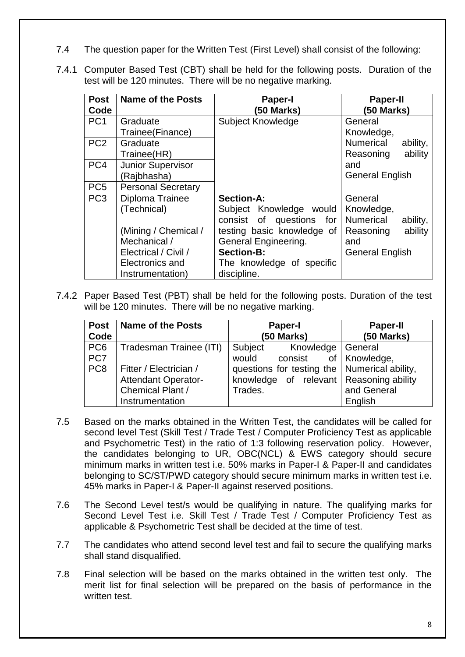- 7.4 The question paper for the Written Test (First Level) shall consist of the following:
- 7.4.1 Computer Based Test (CBT) shall be held for the following posts. Duration of the test will be 120 minutes. There will be no negative marking.

| <b>Post</b><br>Code | <b>Name of the Posts</b>  | <b>Paper-I</b><br>(50 Marks) | <b>Paper-II</b><br>(50 Marks) |
|---------------------|---------------------------|------------------------------|-------------------------------|
| PC <sub>1</sub>     | Graduate                  | <b>Subject Knowledge</b>     | General                       |
|                     | Trainee(Finance)          |                              | Knowledge,                    |
| PC <sub>2</sub>     | Graduate                  |                              | Numerical<br>ability,         |
|                     | Trainee(HR)               |                              | Reasoning<br>ability          |
| PC <sub>4</sub>     | Junior Supervisor         |                              | and                           |
|                     | (Rajbhasha)               |                              | <b>General English</b>        |
| PC <sub>5</sub>     | <b>Personal Secretary</b> |                              |                               |
| PC <sub>3</sub>     | Diploma Trainee           | <b>Section-A:</b>            | General                       |
|                     | (Technical)               | Subject Knowledge would      | Knowledge,                    |
|                     |                           | consist of questions<br>for  | Numerical<br>ability,         |
|                     | (Mining / Chemical /      | testing basic knowledge of   | ability<br>Reasoning          |
|                     | Mechanical /              | General Engineering.         | and                           |
|                     | Electrical / Civil /      | <b>Section-B:</b>            | <b>General English</b>        |
|                     | Electronics and           | The knowledge of specific    |                               |
|                     | Instrumentation)          | discipline.                  |                               |

7.4.2 Paper Based Test (PBT) shall be held for the following posts. Duration of the test will be 120 minutes. There will be no negative marking.

| <b>Post</b> | Name of the Posts          | <b>Paper-I</b>                                 | <b>Paper-II</b> |
|-------------|----------------------------|------------------------------------------------|-----------------|
| Code        |                            | (50 Marks)                                     | $(50$ Marks)    |
| PC6         | Tradesman Trainee (ITI)    | Subject<br>Knowledge   General                 |                 |
| PC7         |                            | would<br>consist of Knowledge,                 |                 |
| PC8         | Fitter / Electrician /     | questions for testing the   Numerical ability, |                 |
|             | <b>Attendant Operator-</b> | knowledge of relevant Reasoning ability        |                 |
|             | Chemical Plant /           | Trades.                                        | and General     |
|             | Instrumentation            |                                                | English         |

- 7.5 Based on the marks obtained in the Written Test, the candidates will be called for second level Test (Skill Test / Trade Test / Computer Proficiency Test as applicable and Psychometric Test) in the ratio of 1:3 following reservation policy. However, the candidates belonging to UR, OBC(NCL) & EWS category should secure minimum marks in written test i.e. 50% marks in Paper-I & Paper-II and candidates belonging to SC/ST/PWD category should secure minimum marks in written test i.e. 45% marks in Paper-I & Paper-II against reserved positions.
- 7.6 The Second Level test/s would be qualifying in nature. The qualifying marks for Second Level Test i.e. Skill Test / Trade Test / Computer Proficiency Test as applicable & Psychometric Test shall be decided at the time of test.
- 7.7 The candidates who attend second level test and fail to secure the qualifying marks shall stand disqualified.
- 7.8 Final selection will be based on the marks obtained in the written test only. The merit list for final selection will be prepared on the basis of performance in the written test.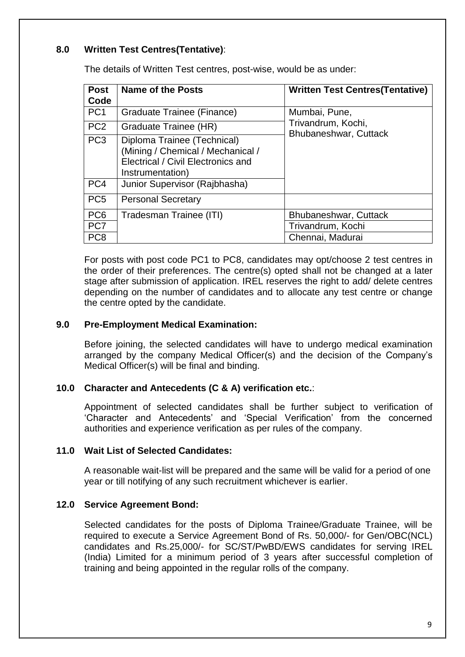## **8.0 Written Test Centres(Tentative)**:

The details of Written Test centres, post-wise, would be as under:

| <b>Post</b>     | Name of the Posts                                                                                                          | <b>Written Test Centres (Tentative)</b>     |
|-----------------|----------------------------------------------------------------------------------------------------------------------------|---------------------------------------------|
| Code            |                                                                                                                            |                                             |
| PC <sub>1</sub> | Graduate Trainee (Finance)                                                                                                 | Mumbai, Pune,                               |
| PC <sub>2</sub> | Graduate Trainee (HR)                                                                                                      | Trivandrum, Kochi,<br>Bhubaneshwar, Cuttack |
| PC <sub>3</sub> | Diploma Trainee (Technical)<br>(Mining / Chemical / Mechanical /<br>Electrical / Civil Electronics and<br>Instrumentation) |                                             |
| PC4             | Junior Supervisor (Rajbhasha)                                                                                              |                                             |
| PC <sub>5</sub> | <b>Personal Secretary</b>                                                                                                  |                                             |
| PC <sub>6</sub> | Tradesman Trainee (ITI)                                                                                                    | Bhubaneshwar, Cuttack                       |
| PC <sub>7</sub> |                                                                                                                            | Trivandrum, Kochi                           |
| PC <sub>8</sub> |                                                                                                                            | Chennai, Madurai                            |

For posts with post code PC1 to PC8, candidates may opt/choose 2 test centres in the order of their preferences. The centre(s) opted shall not be changed at a later stage after submission of application. IREL reserves the right to add/ delete centres depending on the number of candidates and to allocate any test centre or change the centre opted by the candidate.

#### **9.0 Pre-Employment Medical Examination:**

Before joining, the selected candidates will have to undergo medical examination arranged by the company Medical Officer(s) and the decision of the Company"s Medical Officer(s) will be final and binding.

## **10.0 Character and Antecedents (C & A) verification etc.**:

Appointment of selected candidates shall be further subject to verification of "Character and Antecedents" and "Special Verification" from the concerned authorities and experience verification as per rules of the company.

## **11.0 Wait List of Selected Candidates:**

A reasonable wait-list will be prepared and the same will be valid for a period of one year or till notifying of any such recruitment whichever is earlier.

#### **12.0 Service Agreement Bond:**

Selected candidates for the posts of Diploma Trainee/Graduate Trainee, will be required to execute a Service Agreement Bond of Rs. 50,000/- for Gen/OBC(NCL) candidates and Rs.25,000/- for SC/ST/PwBD/EWS candidates for serving IREL (India) Limited for a minimum period of 3 years after successful completion of training and being appointed in the regular rolls of the company.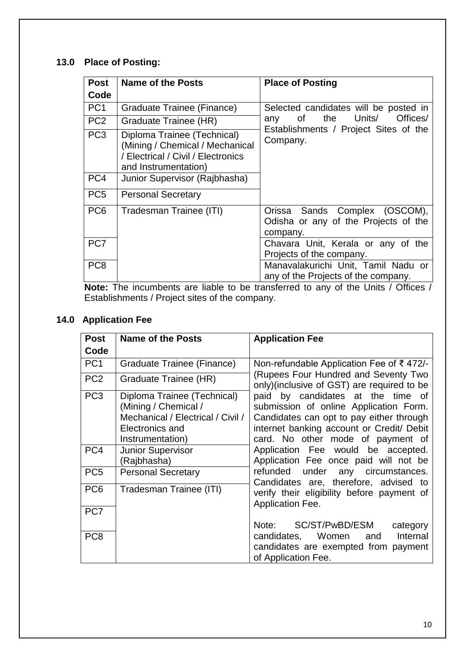## **13.0 Place of Posting:**

| <b>Post</b>                 | <b>Name of the Posts</b>                                                                                                     | <b>Place of Posting</b>                                                                                                                                                             |
|-----------------------------|------------------------------------------------------------------------------------------------------------------------------|-------------------------------------------------------------------------------------------------------------------------------------------------------------------------------------|
| Code                        |                                                                                                                              |                                                                                                                                                                                     |
| PC <sub>1</sub>             | Graduate Trainee (Finance)                                                                                                   | Selected candidates will be posted in                                                                                                                                               |
| PC <sub>2</sub>             | Graduate Trainee (HR)                                                                                                        | Units/<br>Offices/<br>the<br>of<br>any                                                                                                                                              |
| PC <sub>3</sub>             | Diploma Trainee (Technical)<br>(Mining / Chemical / Mechanical<br>/ Electrical / Civil / Electronics<br>and Instrumentation) | Establishments / Project Sites of the<br>Company.                                                                                                                                   |
| PC <sub>4</sub>             | Junior Supervisor (Rajbhasha)                                                                                                |                                                                                                                                                                                     |
| PC <sub>5</sub>             | <b>Personal Secretary</b>                                                                                                    |                                                                                                                                                                                     |
| PC <sub>6</sub>             | Tradesman Trainee (ITI)                                                                                                      | Orissa Sands Complex (OSCOM),<br>Odisha or any of the Projects of the<br>company.                                                                                                   |
| PC7                         |                                                                                                                              | Chavara Unit, Kerala or any of the<br>Projects of the company.                                                                                                                      |
| PC <sub>8</sub><br>TI.<br>. |                                                                                                                              | Manavalakurichi Unit, Tamil Nadu or<br>any of the Projects of the company.<br>For a set of a set of the Higher than the set of the set of the set of the Higher $I$ $\bigcap H$ and |

**Note:** The incumbents are liable to be transferred to any of the Units / Offices / Establishments / Project sites of the company.

## **14.0 Application Fee**

| <b>Post</b>     | <b>Name of the Posts</b>                                                                                                        | <b>Application Fee</b>                                                                                                                                                                                                                                                                                                                      |
|-----------------|---------------------------------------------------------------------------------------------------------------------------------|---------------------------------------------------------------------------------------------------------------------------------------------------------------------------------------------------------------------------------------------------------------------------------------------------------------------------------------------|
| Code            |                                                                                                                                 |                                                                                                                                                                                                                                                                                                                                             |
| PC <sub>1</sub> | Graduate Trainee (Finance)                                                                                                      | Non-refundable Application Fee of ₹472/-<br>(Rupees Four Hundred and Seventy Two<br>only)(inclusive of GST) are required to be<br>paid by candidates at the time of<br>submission of online Application Form.<br>Candidates can opt to pay either through<br>internet banking account or Credit/ Debit<br>card. No other mode of payment of |
| PC <sub>2</sub> | Graduate Trainee (HR)                                                                                                           |                                                                                                                                                                                                                                                                                                                                             |
| PC <sub>3</sub> | Diploma Trainee (Technical)<br>(Mining / Chemical /<br>Mechanical / Electrical / Civil /<br>Electronics and<br>Instrumentation) |                                                                                                                                                                                                                                                                                                                                             |
| PC4             | <b>Junior Supervisor</b><br>(Rajbhasha)                                                                                         | Application Fee would be accepted.<br>Application Fee once paid will not be                                                                                                                                                                                                                                                                 |
| PC <sub>5</sub> | <b>Personal Secretary</b>                                                                                                       | refunded under any circumstances.<br>Candidates are, therefore, advised to                                                                                                                                                                                                                                                                  |
| PC <sub>6</sub> | Tradesman Trainee (ITI)                                                                                                         | verify their eligibility before payment of<br>Application Fee.                                                                                                                                                                                                                                                                              |
| PC7             |                                                                                                                                 |                                                                                                                                                                                                                                                                                                                                             |
|                 |                                                                                                                                 | Note: SC/ST/PwBD/ESM<br>category                                                                                                                                                                                                                                                                                                            |
| PC <sub>8</sub> |                                                                                                                                 | candidates, Women and Internal<br>candidates are exempted from payment<br>of Application Fee.                                                                                                                                                                                                                                               |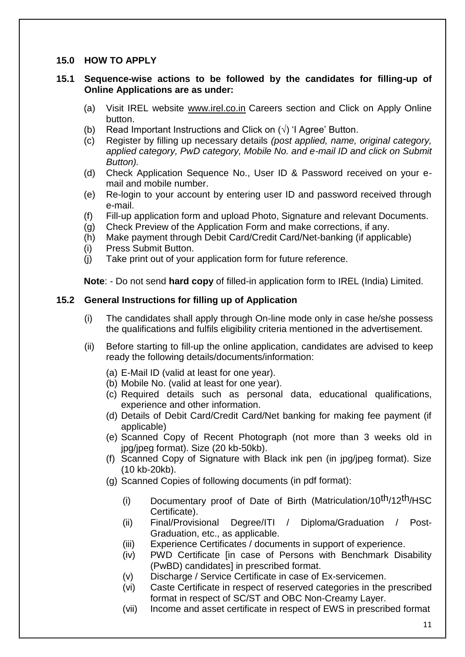#### **15.0 HOW TO APPLY**

#### **15.1 Sequence-wise actions to be followed by the candidates for filling-up of Online Applications are as under:**

- (a) Visit IREL website [www.irel.co.in](http://www.irel.co.in/) Careers section and Click on Apply Online button.
- (b) Read Important Instructions and Click on  $(\sqrt{)}$  'I Agree' Button.
- (c) Register by filling up necessary details *(post applied, name, original category, applied category, PwD category, Mobile No. and e-mail ID and click on Submit Button).*
- (d) Check Application Sequence No., User ID & Password received on your email and mobile number.
- (e) Re-login to your account by entering user ID and password received through e-mail.
- (f) Fill-up application form and upload Photo, Signature and relevant Documents.
- (g) Check Preview of the Application Form and make corrections, if any.
- (h) Make payment through Debit Card/Credit Card/Net-banking (if applicable)
- (i) Press Submit Button.
- (j) Take print out of your application form for future reference.

**Note**: - Do not send **hard copy** of filled-in application form to IREL (India) Limited.

#### **15.2 General Instructions for filling up of Application**

- (i) The candidates shall apply through On-line mode only in case he/she possess the qualifications and fulfils eligibility criteria mentioned in the advertisement.
- (ii) Before starting to fill-up the online application, candidates are advised to keep ready the following details/documents/information:
	- (a) E-Mail ID (valid at least for one year).
	- (b) Mobile No. (valid at least for one year).
	- (c) Required details such as personal data, educational qualifications, experience and other information.
	- (d) Details of Debit Card/Credit Card/Net banking for making fee payment (if applicable)
	- (e) Scanned Copy of Recent Photograph (not more than 3 weeks old in jpg/jpeg format). Size (20 kb-50kb).
	- (f) Scanned Copy of Signature with Black ink pen (in jpg/jpeg format). Size (10 kb-20kb).
	- (g) Scanned Copies of following documents (in pdf format):
		- (i) Documentary proof of Date of Birth (Matriculation/10<sup>th</sup>/12<sup>th</sup>/HSC Certificate).
		- (ii) Final/Provisional Degree/ITI / Diploma/Graduation / Post-Graduation, etc., as applicable.
		- (iii) Experience Certificates / documents in support of experience.
		- (iv) PWD Certificate [in case of Persons with Benchmark Disability (PwBD) candidates] in prescribed format.
		- (v) Discharge / Service Certificate in case of Ex-servicemen.
		- (vi) Caste Certificate in respect of reserved categories in the prescribed format in respect of SC/ST and OBC Non-Creamy Layer.
		- (vii) Income and asset certificate in respect of EWS in prescribed format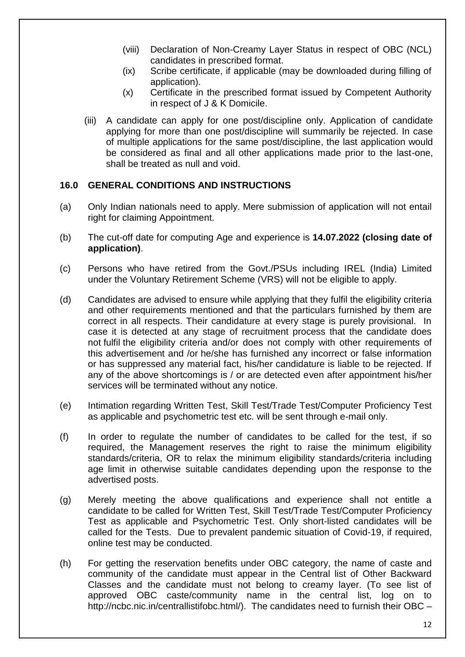- (viii) Declaration of Non-Creamy Layer Status in respect of OBC (NCL) candidates in prescribed format.
- (ix) Scribe certificate, if applicable (may be downloaded during filling of application).
- (x) Certificate in the prescribed format issued by Competent Authority in respect of J & K Domicile.
- (iii) A candidate can apply for one post/discipline only. Application of candidate applying for more than one post/discipline will summarily be rejected. In case of multiple applications for the same post/discipline, the last application would be considered as final and all other applications made prior to the last-one, shall be treated as null and void.

## **16.0 GENERAL CONDITIONS AND INSTRUCTIONS**

- (a) Only Indian nationals need to apply. Mere submission of application will not entail right for claiming Appointment.
- (b) The cut-off date for computing Age and experience is **14.07.2022 (closing date of application)**.
- (c) Persons who have retired from the Govt./PSUs including IREL (India) Limited under the Voluntary Retirement Scheme (VRS) will not be eligible to apply.
- (d) Candidates are advised to ensure while applying that they fulfil the eligibility criteria and other requirements mentioned and that the particulars furnished by them are correct in all respects. Their candidature at every stage is purely provisional. In case it is detected at any stage of recruitment process that the candidate does not fulfil the eligibility criteria and/or does not comply with other requirements of this advertisement and /or he/she has furnished any incorrect or false information or has suppressed any material fact, his/her candidature is liable to be rejected. If any of the above shortcomings is / or are detected even after appointment his/her services will be terminated without any notice.
- (e) Intimation regarding Written Test, Skill Test/Trade Test/Computer Proficiency Test as applicable and psychometric test etc. will be sent through e-mail only.
- (f) In order to regulate the number of candidates to be called for the test, if so required, the Management reserves the right to raise the minimum eligibility standards/criteria, OR to relax the minimum eligibility standards/criteria including age limit in otherwise suitable candidates depending upon the response to the advertised posts.
- (g) Merely meeting the above qualifications and experience shall not entitle a candidate to be called for Written Test, Skill Test/Trade Test/Computer Proficiency Test as applicable and Psychometric Test. Only short-listed candidates will be called for the Tests. Due to prevalent pandemic situation of Covid-19, if required, online test may be conducted.
- (h) For getting the reservation benefits under OBC category, the name of caste and community of the candidate must appear in the Central list of Other Backward Classes and the candidate must not belong to creamy layer. (To see list of approved OBC caste/community name in the central list, log on to http://ncbc.nic.in/centrallistifobc.html/). The candidates need to furnish their OBC –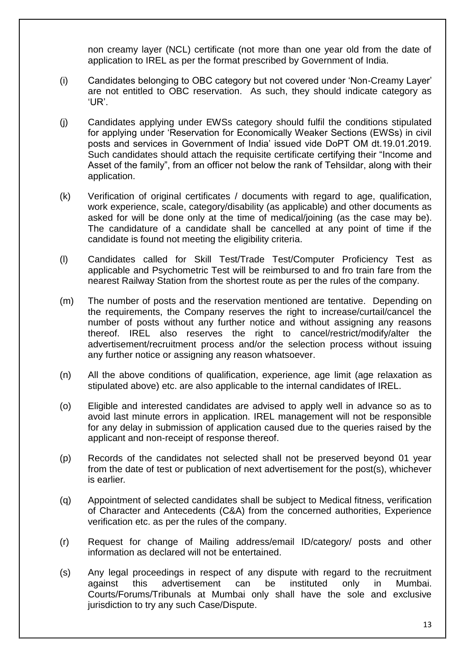non creamy layer (NCL) certificate (not more than one year old from the date of application to IREL as per the format prescribed by Government of India.

- (i) Candidates belonging to OBC category but not covered under "Non-Creamy Layer" are not entitled to OBC reservation. As such, they should indicate category as "UR".
- (j) Candidates applying under EWSs category should fulfil the conditions stipulated for applying under "Reservation for Economically Weaker Sections (EWSs) in civil posts and services in Government of India" issued vide DoPT OM dt.19.01.2019. Such candidates should attach the requisite certificate certifying their "Income and Asset of the family", from an officer not below the rank of Tehsildar, along with their application.
- (k) Verification of original certificates / documents with regard to age, qualification, work experience, scale, category/disability (as applicable) and other documents as asked for will be done only at the time of medical/joining (as the case may be). The candidature of a candidate shall be cancelled at any point of time if the candidate is found not meeting the eligibility criteria.
- (l) Candidates called for Skill Test/Trade Test/Computer Proficiency Test as applicable and Psychometric Test will be reimbursed to and fro train fare from the nearest Railway Station from the shortest route as per the rules of the company.
- (m) The number of posts and the reservation mentioned are tentative. Depending on the requirements, the Company reserves the right to increase/curtail/cancel the number of posts without any further notice and without assigning any reasons thereof. IREL also reserves the right to cancel/restrict/modify/alter the advertisement/recruitment process and/or the selection process without issuing any further notice or assigning any reason whatsoever.
- (n) All the above conditions of qualification, experience, age limit (age relaxation as stipulated above) etc. are also applicable to the internal candidates of IREL.
- (o) Eligible and interested candidates are advised to apply well in advance so as to avoid last minute errors in application. IREL management will not be responsible for any delay in submission of application caused due to the queries raised by the applicant and non-receipt of response thereof.
- (p) Records of the candidates not selected shall not be preserved beyond 01 year from the date of test or publication of next advertisement for the post(s), whichever is earlier*.*
- (q) Appointment of selected candidates shall be subject to Medical fitness, verification of Character and Antecedents (C&A) from the concerned authorities, Experience verification etc. as per the rules of the company.
- (r) Request for change of Mailing address/email ID/category/ posts and other information as declared will not be entertained.
- (s) Any legal proceedings in respect of any dispute with regard to the recruitment against this advertisement can be instituted only in Mumbai. Courts/Forums/Tribunals at Mumbai only shall have the sole and exclusive jurisdiction to try any such Case/Dispute.